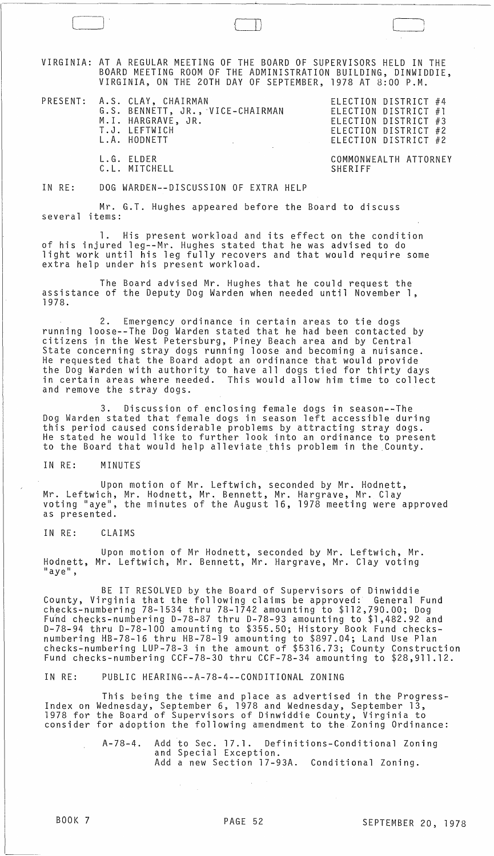VIRGINIA: AT A REGULAR MEETING OF THE BOARD OF SUPERVISORS HELD IN THE BOARD MEETING ROOM OF THE ADMINISTRATION BUILDING, DINWIDDIE, VIRGINIA, ON THE 20TH DAY OF SEPTEMBER, 1978 AT 8:00 P.M.

PRESENT: A.S. CLAY, CHAIRMAN ELECTION DISTRICT #4 A.S. CLAY, CHAIRMAN<br>G.S. BENNETT, JR., VICE-CHAIRMAN M.I. HARGRAVE, JR. T.J. LEFTWICH L.A. HODNETT

) --~ LJJ

L.G. ELDER C. L. MITCHELL

ELECTION DISTRICT #1 ELECTION DISTRICT #3 ELECTION DISTRICT #2 ELECTION DISTRICT #2

COMMONWEALTH ATTORNEY SHERIFF

IN RE: DOG WARDEN--DISCUSSION OF EXTRA HELP

Mr. G.T. Hughes appeared before the Board to discuss several items:

1. His present workload and its effect on the condition of his injured leg--Mr. Hughes stated that he was advised to do light work until his leg fully recovers and that would require some extra help under his present workload.

The Board advised Mr. Hughes that he could request the assistance of the Deputy Dog Warden when needed until November 1, 1978.

2. Emergency ordinance in certain areas to tie dogs running loose--The Dog Warden stated that he had been contacted by citizens in the West Petersburg, Piney Beach area and by Central State concerning stray dogs running loose and becoming a nuisance. He requested that the Board adopt an ordinance that would provide the Dog Warden with authority to have all dogs tied for thirty days in certain areas where needed. This would allow him time to collect and remove the stray dogs.

3. Discussion of enclosing female dogs in season--The Dog Warden stated that female dogs in season left accessible during this period caused considerable problems by attracting stray dogs. He stated he would like to further look into an ordinance to present to the Board that would help alleviate this problem in the County.

## IN RE: MINUTES

Upon motion of Mr. Leftwich, seconded by Mr. Hodnett, Mr. Leftwich, Mr. Hodnett, Mr. Bennett, Mr. Hargrave, Mr. Clay voting "aye", the minutes of the August 16, 1978 meeting were approved as presented.

IN RE: CLAIMS

Upon motion of Mr Hodnett, seconded by Mr. Leftwich, Mr. Hodnett, Mr. Leftwich, Mr. Bennett, Mr. Hargrave, Mr. Clay voting  $"$ aye",

BE IT RESOLVED by the Board of Supervisors of Dinwiddie County, Virginia that the following claims be approved: General Fund checks-numbering 78-1534 thru 78-1742 amounting to \$112,790.00; Dog Fund checks-numbering D-78-87 thru D-78-93 amounting to \$1,482.92 and D-78-94 thru D-78-100 amounting to \$355.50; History Book Fund checksnumbering HB-78-l6 thru HB-78-19 amounting to \$897.04; Land Use Plan checks-numbering LUP-78-3 in the amount of \$5316.73; County Construction Fund checks-numbering CCF-78-30 thru CCF-78-34 amounting to \$28,911.12.

IN RE: PUBLIC HEARING--A-78-4--CONDITIONAL ZONING

 $\mathcal{F}^{\text{max}}_{\text{max}}$ 

This being the time and place as advertised in the Progress- Index on Wednesday, September 6, 1978 and Wednesday, September 13, 1978 for the Board of Supervisors of Dinwiddie County, Virginia to consider for adoption the following amendment to the Zoning Ordinance:

> A-78-4. Add to Sec. 17.1. Definitions-Conditional Zoning and Special Exception. Add a new Section 17-93A. Conditional Zoning.

 $\sim 10^{-11}$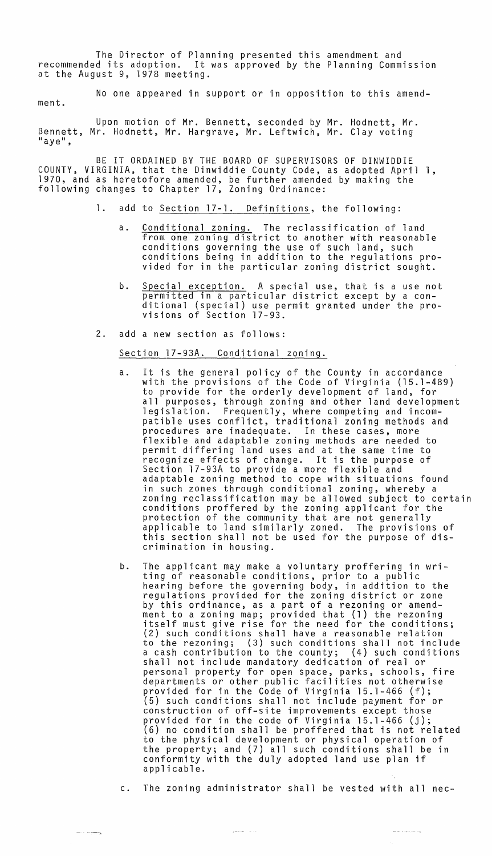The Director of Planning presented this amendment and recommended its adoption. It was approved by the Planning Commission at the August 9, 1978 meeting.

No one appeared in support or in opposition to this amend-

ment.

Upon motion of Mr. Bennett, seconded by Mr. Hodnett, Mr. Bennett, Mr. Hodnett, Mr. Hargrave, Mr. Leftwich, Mr. Clay voting<br>"aye",

BE IT ORDAINED BY THE BOARD OF SUPERVISORS OF DINWIDDIE COUNTY, VIRGINIA, that the Dinwiddie County Code, as adopted April 1, 1970, and as heretofore amended, be further amended by making the following changes to Chapter 17, Zoning Ordinance:

- 1. add to Section 17-1. Definitions, the following:
	- a. Conditional zoning. The reclassification of land from one zoning district to another with reasonable conditions governing the use of such land, such conditions being in addition to the regulations provided for in the particular zoning district sought.
	- b. Special exception. A special use, that is a use not permitted in a particular district except by a conditional (special) use permit granted under the pro- visions of Section 17-93.
- 2. add a new section as follows:

Section 17-93A. Conditional zoning.

- a. It is the general policy of the County in accordance with the provisions of the Code of Virginia (15.1-489) to provide for the orderly development of land, for all purposes, through zoning and other land development legislation. Frequently, where competing and incompatible uses conflict, traditional zoning methods and procedures are inadequate. In these cases, more flexible and adaptable zoning methods are needed to permit differing land uses and at the same time to recognize effects of change. It is the purpose of Section 17-93A to provide a more flexible and adaptable zoning method to cope with situations found in such zones through conditional zoning, whereby a zoning reclassification may be allowed subject to certain conditions proffered by the zoning applicant for the protection of the community that are not generally applicable to land similarly zoned. The provisions of this section shall not be used for the purpose of discrimination in housing.
- b. The applicant may make a voluntary proffering in writing of reasonable conditions, prior to a public hearing before the governing body, in addition to the regulations provided for the zoning district or zone by this ordinance, as a part of a rezoning or amend-<br>ment to a zoning map; provided that (1) the rezoning itself must give rise for the need for the conditions; (2) such conditions shall have a reasonable relation to the rezoning; (3) such conditions shall not include a cash contribution to the county; (4) such conditions shall not include mandatory dedication of real or personal property for open space, parks, schools, fire departments or other public facilities not otherwise provided for in the Code of Virginia 15.1-466 (f); (5) such conditions shall not include payment for or construction of off-site improvements except those<br>provided for in the code of Virginia 15.1-466 (j);  $(6)$  no condition shall be proffered that is not related to the physical development or physical operation of the property; and (7) all such conditions shall be in conformity with the duly adopted land use plan if applicable.
- c. The zoning administrator shall be vested with all nec-

أيوم المدادي والمستقير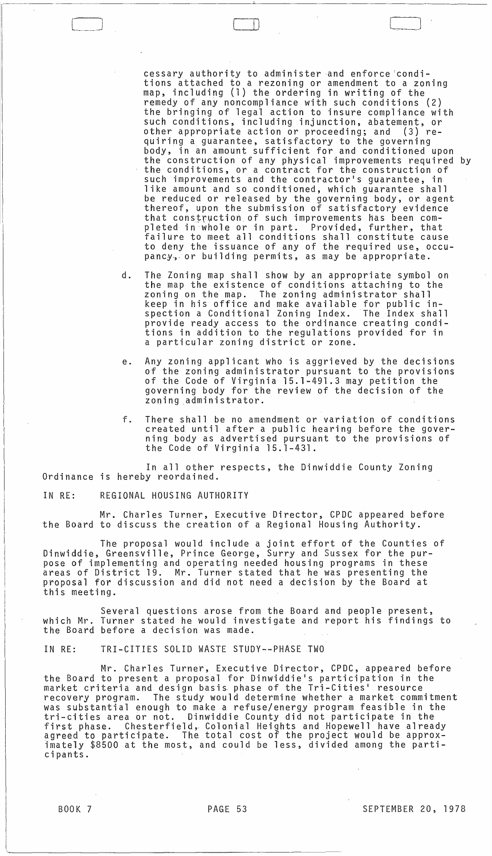cessary authority to administer and enforce 'conditions attached to a rezoning or amendment to a zoning map, including (1) the ordering in writing of the remedy of any noncompliance with such conditions (2) the bringing of legal action to insure compliance with such conditions, including injunction, abatement, or other appropriate action or proceeding; and (3) requiring a guarantee, satisfactory to the governing body, in an amount sufficient for and conditioned upon the construction of any physical improvements required by the conditions, or a contract for the construction of such improvements and the contractor's guarantee, in like amount and so conditioned, which guarantee shall be reduced or released by the governing body, or agent thereof, upon the submission of satisfactory evidence that construction of such improvements has been completed in whole or in part. Provided, further, that failure to meet all conditions shall constitute cause to deny the issuance of any of the required use, occupancy, or building permits, as may be appropriate.

[-,-....~].

- d. The Zoning map shall show by an appropriate symbol on the map the existence of conditions attaching to the zoning on the map. The zoning administrator shall keep in his office and make available for public inspection a Conditional Zoning Index. The Index shall provide ready access to the ordinance creating conditions in addition to the regulations provided for in a particular zoning district or zone.
- e. Any zoning applicant who is aggrieved by the decisions of the zoning administrator pursuant to the provisions of the Code of Virginia 15.1-491.3 may petition the governing body for the review of the decision of the zoning .administrator.
- f. There shall be no amendment or variation of conditions created until after a public hearing before the governing body as advertised pursuant to the provisions of the Code of Virginia 15.1-431.

In all other respects, the Dinwiddie County Zoning Ordinance is hereby reordained.

IN RE: REGIONAL HOUSING AUTHORITY

Mr. Charles Turner, Executive Director, CPDC appeared before the Board to discuss the creation of a Regional Housing Authority.

The proposal would include a joint effort of the Counties of Dinwiddie, Greensville, Prince George, Surry and Sussex for the purpose of implementing and operating needed housing programs in these areas of District 19. Mr. Turner stated that he was presenting the proposal for discussion and did not need a decision by the Board at this meeting.

Several questions arose from the Board and people present, which Mr. Turner stated he would investigate and report his findings to the Board before a decision was made.

IN RE: TRI-CITIES SOLID WASTE STUDY--PHASE TWO

Mr. Charles Turner, Executive Director, CPDC, appeared before the Board to present a proposal for Dinwiddie's participation in the market criteria and design basis. phase of the Tri-Cities' resource recovery program. The study would determine whether a market commitment was substantial enough to make a refuse/energy program feasible in the tri-cities area or not. Dinwiddie County did not participate in the first phase. Chesterfield, Colonial Heights and Hopewell have already agreed to participate. The total cost of the project would be approximately \$8500 at the most, and could be less, divided among the participants.

BOOK 7 PAGE 53 SEPTEMBER 20, 1978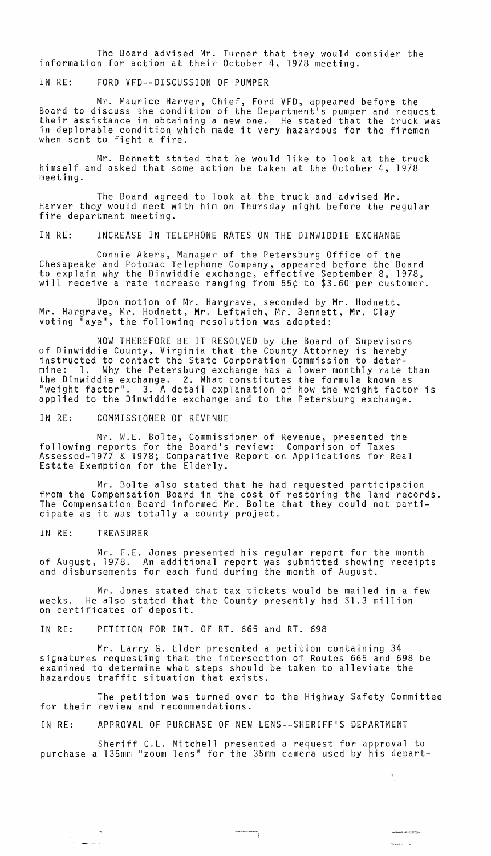The Board advised Mr. Turner that they would consider the information for action at their October 4, 1978 meeting.

IN RE: FORD VFD--DISCUSSION OF PUMPER

Mr. Maurice Harver, Chief, Ford VFD, appeared before the Board to discuss the condition of the Department's pumper and request<br>their assistance in obtaining a new one. He stated that the truck was in deplorable condition which made it very hazardous for the firemen when sent to fight a fire.

Mr. Bennett stated that he would like to look at the truck himself and asked that some action be taken at the October 4, 1978 meeting.

The Board agreed to look at the truck and advised Mr. Harver they would meet with him on Thursday night before the regular<br>fire department meeting.

IN RE: INCREASE IN TELEPHONE RATES ON THE DINWIDDIE EXCHANGE

Connie Akers, Manager of the Petersburg Office of the Chesapeake and Potomac Telephone Company, appeared before the Board to explain why the Dinwiddie exchange, effective September 8, 1978, will receive a rate increase ranging from 55¢ to \$3.60 per customer.

Upon motion of Mr. Hargrave, seconded by Mr. Hodnett, Mr. Hargrave, Mr. Hodnett, Mr. Leftwich, Mr. Bennett, Mr. Clay voting "aye", the following resolution was adopted:

NOW THEREFORE BE IT RESOLVED by the Board of Supevisors of Dinwiddie County, Virginia that the County Attorney is hereby instructed to contact the State Corporation Commission to determine: 1. Why the Petersburg exchange has a lower monthly rate than the Dinwiddie exchange. 2. What constitutes the formula known as "weight factor". 3. A detail explanation of how the weight factor is applied to the Dinwiddie exchange and to the Petersburg exchange.

IN RE: COMMISSIONER OF REVENUE

Mr. W.E. Bolte, Commissioner of Revenue, presented the following reports for the Board's review: Comparison of Taxes Assessed-1977 & 1978; Comparative Report on Applications for Real Estate Exemption for the Elderly.

Mr. Bolte also stated that he had requested participation from the Compensation Board in the cost of restoring the land records. The Compensation Board informed Mr. Bolte that they could not participate as it was totally a county project.

IN RE: TREASURER

Mr. F.E. Jones presented his regular report for the month of August, 1978. An additional report was submitted showing receipts and disbursements for each fund during the month of August.

Mr. Jones stated that tax tickets would be mailed in a few weeks. He also stated that the County presently had \$1.3 million on certificates of deposit.

IN RE: PETITION FOR INT. OF RT. 665 and RT. 698

Mr. Larry G. Elder presented a petition containing 34 signatures requesting that the intersection of Routes 665 and 698 be examined to determine what steps should be taken to alleviate the hazardous traffic situation that exists.

The petition was turned over to the Highway Safety Committee for their review and recommendations.

IN RE: APPROVAL OF PURCHASE OF NEW LENS--SHERIFF'S DEPARTMENT

Sheriff C.L. Mitchell presented a request for approval to purchase a 135mm "zoom lens" for the 35mm camera used by his depart-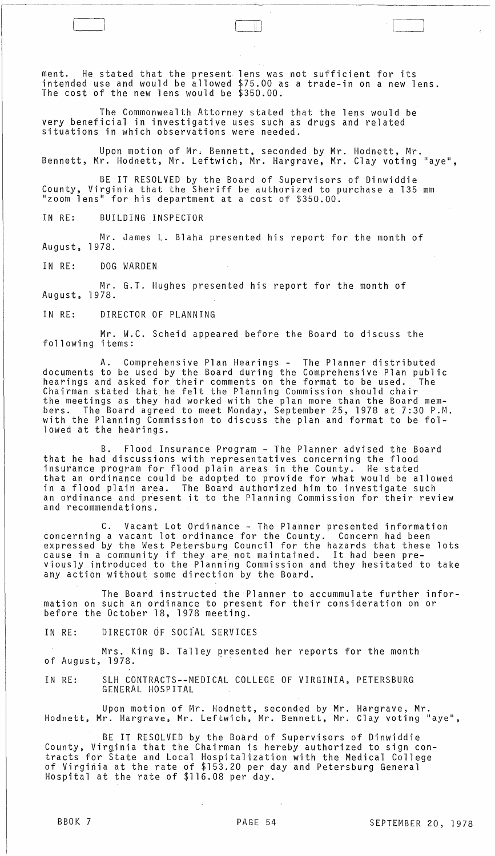ment. He stated that the present lens was not sufficient for its intended use and would be allowed \$75.00 as a trade-in on a new lens. The cost of the new lens would be \$350.00.

 $\cup$  .

The Commonwealth Attorney stated that the lens would be very beneficial in investigative uses such as drugs and related situations in which observations were needed.

Upon motion of Mr. Bennett, seconded by Mr. Hodnett, Mr. Bennett, Mr. Hodnett, Mr. leftwich, Mr. Hargrave, Mr. Clay voting "aye",

BE IT RESOLVED by the Board of Supervisors of Dinwiddie County, Virginia that the Sheriff be authorized to purchase a 135 mm "zoom lens" for his department at a cost of \$350.00.

IN RE: BUILDING INSPECTOR

Mr. James l. Blaha presented his report for the month of August, 1978.

IN RE: DOG WARDEN

Mr. G.T. Hughes presented his report for the month of August, 1978.

IN RE: DIRECTOR OF PLANNING

Mr. W.C. Scheid appeared before the Board to discuss the following items:

A. Comprehensive Plan Hearings - The Planner distributed documents to be used by the Board during the Comprehensive Plan public hearings and asked for their comments on the format to be used. The Chairman stated that he felt the Planning Commission should chair the meetings as they had worked with the plan more than the Board members. The Board agreed to meet Monday, September 25, 1978 at 7:30 P.M. with the Planning Commission to discuss the plan and format to be followed at the hearings.

B. Flood Insurance Program - The Planner advised the Board that he had discussions with representatives concerning the flood insurance program for flood plain areas in the County. He stated that an ordinance could be adopted to provide for what would be allowed in a flood plain area. The Board authorized him to investigate such an ordinance and present it to the Planning Commission for their review and recommendations.

C. Vacant lot Ordinance - The Planner presented information concerning a vacant lot ordinance for the County. Concern had been expressed by the West Petersburg Council for the hazards that these lots cause in a community if they are not maintained. It had been previously introduced to the Planning Commission and they hesitated to take any action without some direction by the Board.

The Board instructed the Planner to accummulate further information on such an ordinance to present for their consideration on or before the October 18, 1978 meeting.

IN RE: DIRECTOR OF SOCIAL SERVICES

Mrs. King B. Talley presented her reports for the month of August, 1978.

IN RE: SLH CONTRACTS--MEDICAL COllEGE OF VIRGINIA, PETERSBURG GENERAL HOSPITAL

Upon motion of Mr. Hodnett, seconded by Mr. Hargrave, Mr.<br>Ir. Hargrave, Mr. Leftwich, Mr. Bennett, Mr. Clay voting "aye" Hodnett, Mr. Hargrave, Mr. Leftwich, Mr. Bennett, Mr. Clay voting

BE IT RESOLVED by the Board of Supervisors of Dinwiddie County, Virginia that the Chairman is hereby authorized to sign contracts for State and Local Hospitalization with the Medical College of Virginia at the rate of \$153.20 per day and Petersburg General Hospital at the rate of \$116.08 per day.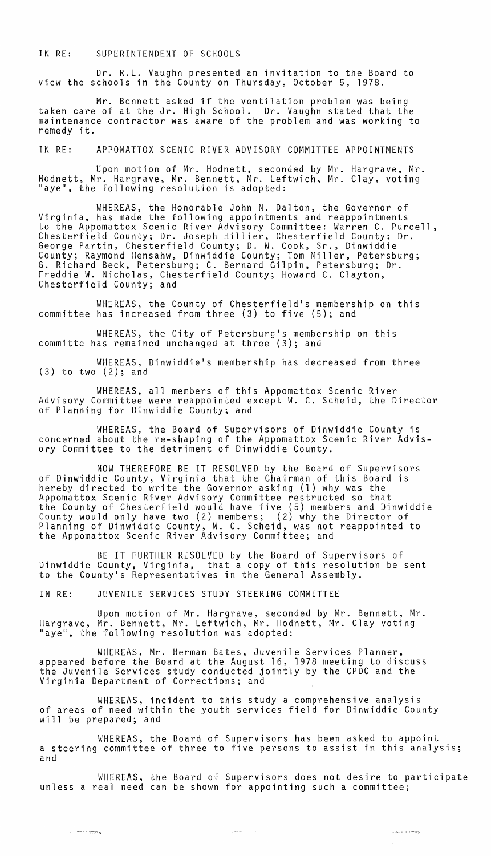## IN RE: SUPERINTENDENT OF SCHOOLS

Dr. R.L. Vaughn presented an invitation to the Board to view the schools in the County on Thursday, October 5, 1978.

Mr. Bennett asked if the ventilation problem was being taken care of at the Jr. High School. Dr. Vaughn stated that the maintenance contractor was aware of the problem and was working to remedy it.

IN RE: APPOMATTOX SCENIC RIVER ADVISORY COMMITTEE APPOINTMENTS

Upon motion of Mr. Hodnett, seconded by Mr. Hargrave, Mr. Hodnett, Mr. Hargrave, Mr. Bennett, Mr. Leftwich, Mr. Clay, voting "aye", the following resolution is adopted:

WHEREAS, the Honorable John N. Dalton, the Governor of Virginia, has made the following appointments and reappointments to the Appomattox Scenic River Advisory Committee: Warren C. Purcell, Chesterfield County; Dr. Joseph Hillier, Chesterfield County; Dr. George Partin, Chesterfield County; D. W. Cook, Sr., Dinwiddie County; Raymond Hensahw, Dinwiddie County; Tom Miller, Petersburg;<br>G. Richard Beck, Petersburg; C. Bernard Gilpin, Petersburg; Dr. Freddie W. Nicholas, Chesterfield County; Howard C. Clayton, Chesterfield County; and

WHEREAS, the County of Chesterfield's membership on this committee has increased from three (3) to five (5); and

WHEREAS, the City of Petersburg's membership on this committe has remained unchanged at three (3); and

WHEREAS, Dinwiddie's membership has decreased from three (3) to two (2); and

WHEREAS, all members of this Appomattox Scenic River Advisory Committee were reappointed except W. C. Scheid, the Director of Planning for Dinwiddie County; and

WHEREAS, the Board of Supervisors of Dinwiddie County is concerned about the re-shaping of the Appomattox Scenic River Advisory Committee to the detriment of Dinwiddie County.

NOW THEREFORE BE IT RESOLVED by the Board of Supervisors of Dinwiddie County, Virginia that the Chairman of this Board is hereby directed to write the Governor asking (1) why was the Appomattox Scenic River Advisory Committee restructed so that the County of Chesterfield would have five (5) members and Dinwiddie County would only have two (2) members; (2) why the Director of Planning of Dinwiddie County, W. C. Scheid, was not reappointed to the Appomattox Scenic River Advisory Committee; and

BE IT FURTHER RESOLVED by the Board of Supervisors of Dinwiddie County, Virginia, that a copy of this resolution be sent to the County's Representatives in the General Assembly.

IN RE: JUVENILE SERVICES STUDY STEERING COMMITTEE

 $\alpha$  . The compact of  $\alpha$ 

Upon motion of Mr. Hargrave, seconded by Mr. Bennett, Mr. Hargrave, Mr. Bennett, Mr. Leftwich, Mr. Hodnett, Mr. Clay voting "aye", the following resolution was adopted:

WHEREAS, Mr. Herman Bates, Juvenile Services Planner, appeared before the Board at the August 16, 1978 meeting to discuss the Juvenile Services study conducted jointly by the CPDC and the Virginia Department of Corrections; and

WHEREAS, incident to this study a comprehensive analysis of areas of need within the youth services field for Dinwiddie County will be prepared; and

WHEREAS, the Board of Supervisors has been asked to appoint a steering committee of three to five persons to assist in this analysis; and

WHEREAS, the Board of Supervisors does not desire to participate unless a real need can be shown for appointing such a committee;

أيوم متدعا المستردان

 $\mathcal{L}_{\mathcal{A}} = \mathcal{L}_{\mathcal{B}}$  , and  $\mathcal{L}_{\mathcal{A}}$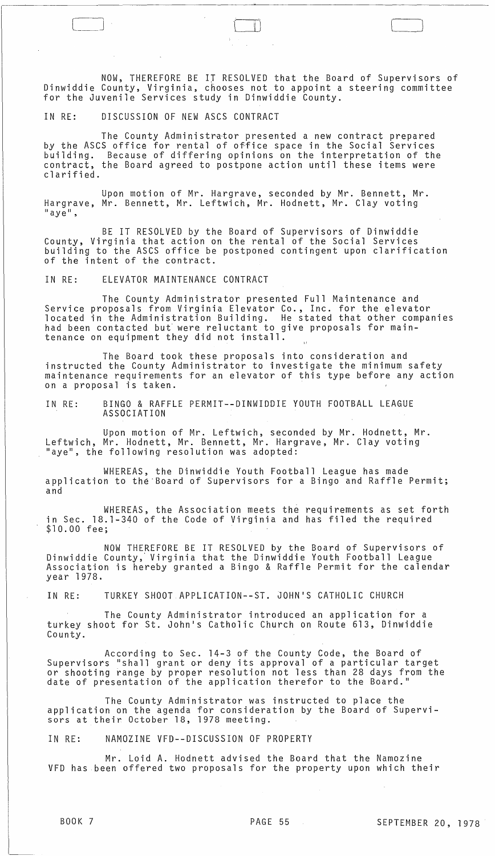NOW, THEREFORE BE IT RESOLVED that the Board of Supervisors of Dinwiddie County, Virginia, chooses not to appoint a steering committee for the Juvenile Services study in Dinwiddie County.

IN RE: DISCUSSION OF NEW ASCS CONTRACT

The County Administrator presented a new contract prepared by the ASCS office for rental of office space in the Social Services building. Because of differing opinions on the interpretation of the contract, the Board agreed to postpone action until these items were clarified.

Upon motion of Mr. Hargrave, seconded by Mr. Bennett, Mr. Hargrave, Mr. Bennett, Mr. Leftwich, Mr. Hodnett, Mr. Clay voting  $"$ aye",

BE IT RESOLVED by the Board of Supervisors of Dinwiddie County, Virginia that action on the rental of the Social Services building to the ASCS office be postponed contingent upon clarification of the intent of the contract.

IN RE: ELEVATOR MAINTENANCE CONTRACT

The County Administrator presented Full Maintenance and Service proposals from Virginia Elevator Co., Inc. for the elevator located in the Administration Building. He stated that other companies had been contacted but were reluctant to give proposals for maintenance on equipment they did not install.

The Board took these proposals into consideration and instructed the County Administrator to investigate the minimum safety maintenance requirements for an elevator of this type before any action on a proposal is taken.

IN RE: BINGO & RAFFLE PERMIT--DINWIDDIE YOUTH FOOTBALL LEAGUE ASSOCIATION

Upon motion of Mr. Leftwich, seconded by Mr. Hodnett, Mr. Leftwich, Mr. Hodnett, Mr. Bennett, Mr. Hargrave, Mr. Clay voting "aye", the following resolution was adopted:

WHEREAS, the Dinwiddie Youth Football League has made application to the Board of Supervisors for a Bingo and Raffle Permit; and

WHEREAS, the Association meets the requirements as set forth in Sec. 18.1-340 of the Code of Virginia and has filed the required<br>\$10.00 fee;

NOW THEREFORE BE IT RESOLVED by the Board of Supervisors of Dinwiddie County,' Virginia that the Dinwiddie Youth Football League Association is hereby granted a Bingo & Raffle Permit for the calendar Association is hereby granted a Bingo & Raffle Permit for the calendar<br>year 1978.

IN RE: TURKEY SHOOT APPLICATION--ST. JOHN'S CATHOLIC CHURCH

The County Administrator introduced an application for a turkey shoot for St. John's Catholic Church on Route 613, Dinwiddie County.

According to Sec. 14-3 of the County Code, the Board of<br>Supervisors "shall grant or deny its approval of a particular target or shooting range by proper resolution not less than 28 days from the date of presentation of the application therefor to the Board."

The County Administrator was instructed to place the application on the agenda for consideration by the Board of Supervisors at their October 18, 1978 meeting.

IN RE: NAMOZINE VFD--DISCUSSION OF PROPERTY

Mr. Loid A. Hodnett advised the Board that the Namozine VFD has been offered two proposals for the property upon which their